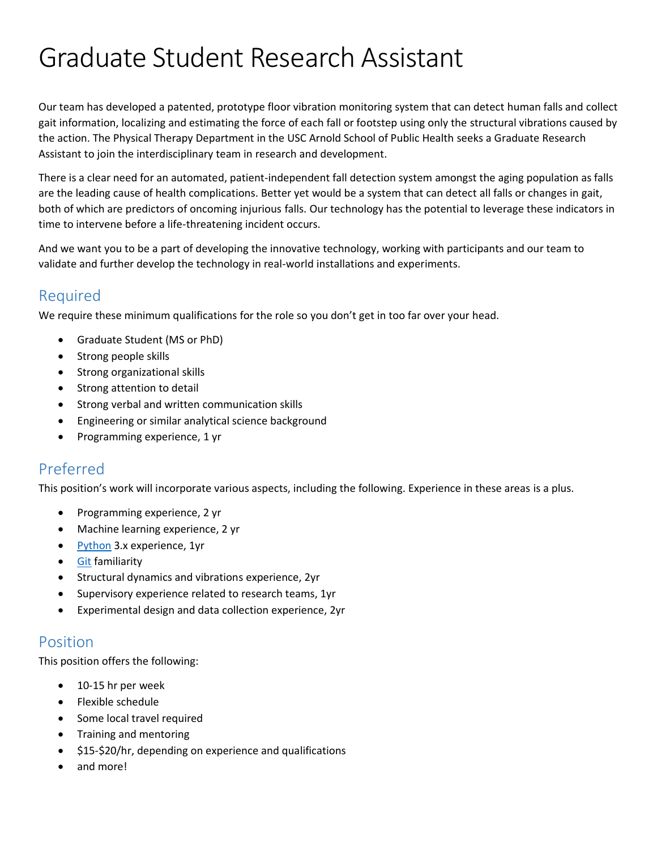# Graduate Student Research Assistant

Our team has developed a patented, prototype floor vibration monitoring system that can detect human falls and collect gait information, localizing and estimating the force of each fall or footstep using only the structural vibrations caused by the action. The Physical Therapy Department in the USC Arnold School of Public Health seeks a Graduate Research Assistant to join the interdisciplinary team in research and development.

There is a clear need for an automated, patient-independent fall detection system amongst the aging population as falls are the leading cause of health complications. Better yet would be a system that can detect all falls or changes in gait, both of which are predictors of oncoming injurious falls. Our technology has the potential to leverage these indicators in time to intervene before a life-threatening incident occurs.

And we want you to be a part of developing the innovative technology, working with participants and our team to validate and further develop the technology in real-world installations and experiments.

#### Required

We require these minimum qualifications for the role so you don't get in too far over your head.

- Graduate Student (MS or PhD)
- Strong people skills
- Strong organizational skills
- Strong attention to detail
- Strong verbal and written communication skills
- Engineering or similar analytical science background
- Programming experience, 1 yr

### Preferred

This position's work will incorporate various aspects, including the following. Experience in these areas is a plus.

- Programming experience, 2 yr
- Machine learning experience, 2 yr
- [Python](https://www.python.org/) 3.x experience, 1yr
- [Git](https://git-scm.com/) familiarity
- Structural dynamics and vibrations experience, 2yr
- Supervisory experience related to research teams, 1yr
- Experimental design and data collection experience, 2yr

#### Position

This position offers the following:

- 10-15 hr per week
- Flexible schedule
- Some local travel required
- Training and mentoring
- \$15-\$20/hr, depending on experience and qualifications
- and more!